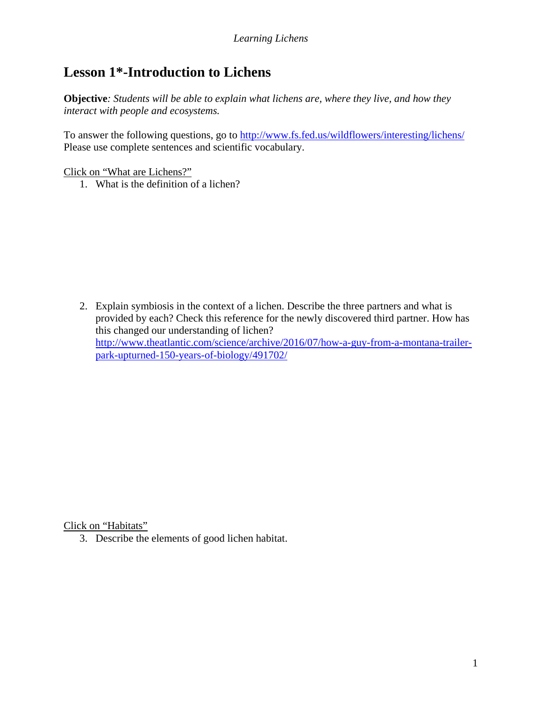## **Lesson 1\*-Introduction to Lichens**

**Objective***: Students will be able to explain what lichens are, where they live, and how they interact with people and ecosystems.*

To answer the following questions, go to<http://www.fs.fed.us/wildflowers/interesting/lichens/> Please use complete sentences and scientific vocabulary.

Click on "What are Lichens?"

1. What is the definition of a lichen?

2. Explain symbiosis in the context of a lichen. Describe the three partners and what is provided by each? Check this reference for the newly discovered third partner. How has this changed our understanding of lichen? [http://www.theatlantic.com/science/archive/2016/07/how-a-guy-from-a-montana-trailer](http://www.theatlantic.com/science/archive/2016/07/how-a-guy-from-a-montana-trailer-park-upturned-150-years-of-biology/491702/)[park-upturned-150-years-of-biology/491702/](http://www.theatlantic.com/science/archive/2016/07/how-a-guy-from-a-montana-trailer-park-upturned-150-years-of-biology/491702/)

Click on "Habitats"

3. Describe the elements of good lichen habitat.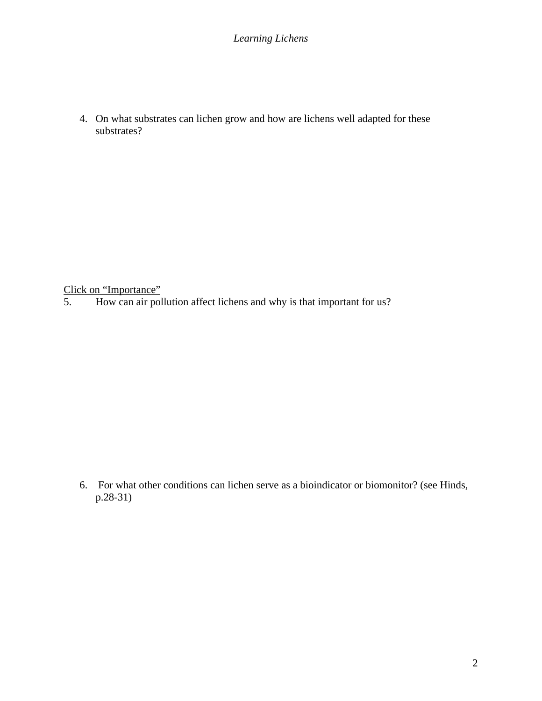*Learning Lichens*

4. On what substrates can lichen grow and how are lichens well adapted for these substrates?

Click on "Importance"<br>5. How can air pol

5. How can air pollution affect lichens and why is that important for us?

6. For what other conditions can lichen serve as a bioindicator or biomonitor? (see Hinds, p.28-31)